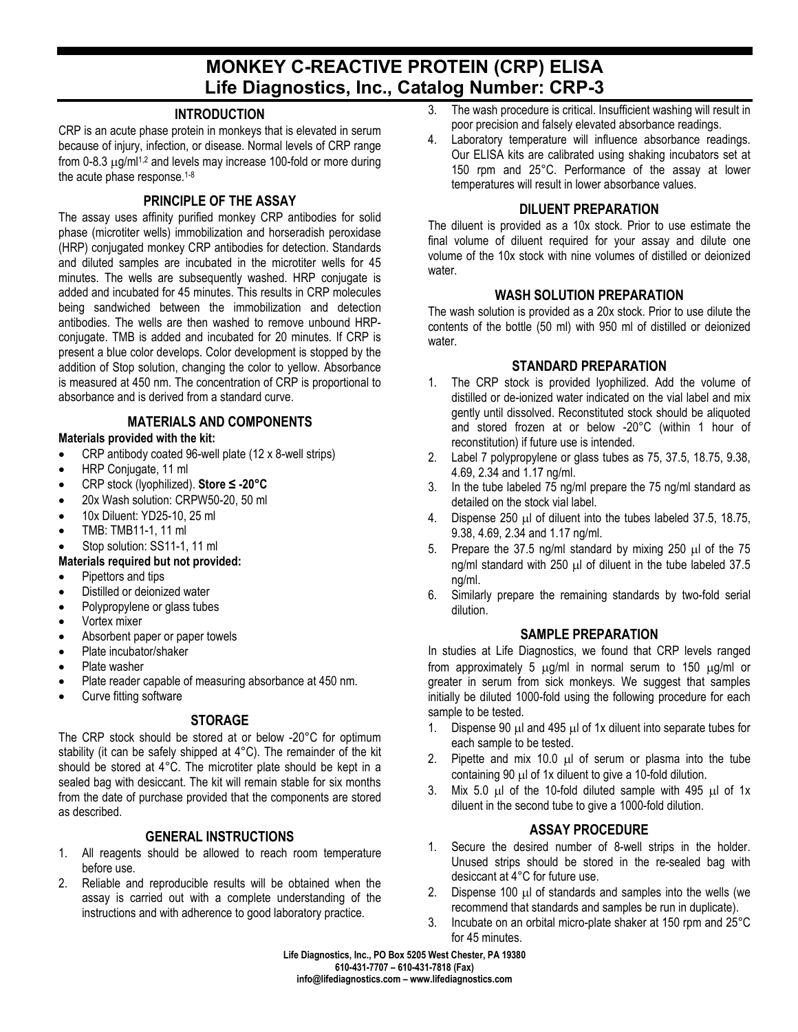# **MONKEY C-REACTIVE PROTEIN (CRP) ELISA Life Diagnostics, Inc., Catalog Number: CRP-3**

#### **INTRODUCTION**

CRP is an acute phase protein in monkeys that is elevated in serum because of injury, infection, or disease. Normal levels of CRP range from 0-8.3  $\mu$ g/ml<sup>1,2</sup> and levels may increase 100-fold or more during the acute phase response.<sup>1-8</sup>

### **PRINCIPLE OF THE ASSAY**

The assay uses affinity purified monkey CRP antibodies for solid phase (microtiter wells) immobilization and horseradish peroxidase (HRP) conjugated monkey CRP antibodies for detection. Standards and diluted samples are incubated in the microtiter wells for 45 minutes. The wells are subsequently washed. HRP conjugate is added and incubated for 45 minutes. This results in CRP molecules being sandwiched between the immobilization and detection antibodies. The wells are then washed to remove unbound HRPconjugate. TMB is added and incubated for 20 minutes. If CRP is present a blue color develops. Color development is stopped by the addition of Stop solution, changing the color to yellow. Absorbance is measured at 450 nm. The concentration of CRP is proportional to absorbance and is derived from a standard curve.

#### **MATERIALS AND COMPONENTS**

#### **Materials provided with the kit:**

- CRP antibody coated 96-well plate (12 x 8-well strips)
- HRP Conjugate, 11 ml
- CRP stock (lyophilized). **Store ≤ -20°C**
- 20x Wash solution: CRPW50-20, 50 ml
- 10x Diluent: YD25-10, 25 ml
- TMB: TMB11-1, 11 ml
- Stop solution: SS11-1, 11 ml

#### **Materials required but not provided:**

- Pipettors and tips
- Distilled or deionized water
- Polypropylene or glass tubes
- Vortex mixer
- Absorbent paper or paper towels
- Plate incubator/shaker
- Plate washer
- Plate reader capable of measuring absorbance at 450 nm.
- Curve fitting software

## **STORAGE**

The CRP stock should be stored at or below -20°C for optimum stability (it can be safely shipped at 4°C). The remainder of the kit should be stored at 4°C. The microtiter plate should be kept in a sealed bag with desiccant. The kit will remain stable for six months from the date of purchase provided that the components are stored as described.

#### **GENERAL INSTRUCTIONS**

- 1. All reagents should be allowed to reach room temperature before use.
- 2. Reliable and reproducible results will be obtained when the assay is carried out with a complete understanding of the instructions and with adherence to good laboratory practice.
- 3. The wash procedure is critical. Insufficient washing will result in poor precision and falsely elevated absorbance readings.
- 4. Laboratory temperature will influence absorbance readings. Our ELISA kits are calibrated using shaking incubators set at 150 rpm and 25°C. Performance of the assay at lower temperatures will result in lower absorbance values.

#### **DILUENT PREPARATION**

The diluent is provided as a 10x stock. Prior to use estimate the final volume of diluent required for your assay and dilute one volume of the 10x stock with nine volumes of distilled or deionized water.

#### **WASH SOLUTION PREPARATION**

The wash solution is provided as a 20x stock. Prior to use dilute the contents of the bottle (50 ml) with 950 ml of distilled or deionized water.

#### **STANDARD PREPARATION**

- 1. The CRP stock is provided lyophilized. Add the volume of distilled or de-ionized water indicated on the vial label and mix gently until dissolved. Reconstituted stock should be aliquoted and stored frozen at or below -20°C (within 1 hour of reconstitution) if future use is intended.
- 2. Label 7 polypropylene or glass tubes as 75, 37.5, 18.75, 9.38, 4.69, 2.34 and 1.17 ng/ml.
- 3. In the tube labeled 75 ng/ml prepare the 75 ng/ml standard as detailed on the stock vial label.
- 4. Dispense 250 µl of diluent into the tubes labeled 37.5, 18.75, 9.38, 4.69, 2.34 and 1.17 ng/ml.
- 5. Prepare the 37.5 ng/ml standard by mixing 250 µl of the 75 ng/ml standard with 250 µl of diluent in the tube labeled 37.5 ng/ml.
- 6. Similarly prepare the remaining standards by two-fold serial dilution.

#### **SAMPLE PREPARATION**

In studies at Life Diagnostics, we found that CRP levels ranged from approximately 5  $\mu$ g/ml in normal serum to 150  $\mu$ g/ml or greater in serum from sick monkeys. We suggest that samples initially be diluted 1000-fold using the following procedure for each sample to be tested.

- 1. Dispense 90 µl and 495 µl of 1x diluent into separate tubes for each sample to be tested.
- 2. Pipette and mix 10.0  $\mu$  of serum or plasma into the tube containing 90 µl of 1x diluent to give a 10-fold dilution.
- 3. Mix 5.0 µl of the 10-fold diluted sample with 495 µl of 1x diluent in the second tube to give a 1000-fold dilution.

#### **ASSAY PROCEDURE**

- 1. Secure the desired number of 8-well strips in the holder. Unused strips should be stored in the re-sealed bag with desiccant at 4°C for future use.
- 2. Dispense 100 µl of standards and samples into the wells (we recommend that standards and samples be run in duplicate).
- 3. Incubate on an orbital micro-plate shaker at 150 rpm and 25°C for 45 minutes.

**Life Diagnostics, Inc., PO Box 5205 West Chester, PA 19380 610-431-7707 – 610-431-7818 (Fax) info@lifediagnostics.com – www.lifediagnostics.com**